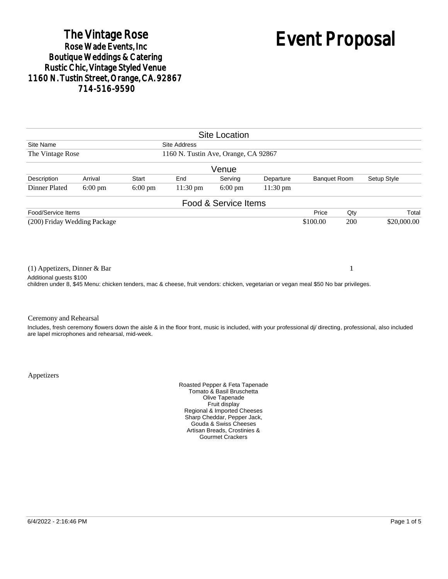# The Vintage Rose<br>Rose Wade Events, Inc. Boutique Weddings & Catering<br>Rustic Chic, Vintage Styled Venue 1160 N. Tustin Street, Orange, CA. 92867 714-516-9590

# Event Proposal

| <b>Site Location</b>                                                                                                                                       |                     |                   |           |                                                |  |  |  |  |  |
|------------------------------------------------------------------------------------------------------------------------------------------------------------|---------------------|-------------------|-----------|------------------------------------------------|--|--|--|--|--|
|                                                                                                                                                            | <b>Site Address</b> |                   |           | Site Name                                      |  |  |  |  |  |
| 1160 N. Tustin Ave, Orange, CA 92867<br>The Vintage Rose                                                                                                   |                     |                   |           |                                                |  |  |  |  |  |
| Venue                                                                                                                                                      |                     |                   |           |                                                |  |  |  |  |  |
| <b>Banquet Room</b><br>Setup Style<br>Serving<br>Departure                                                                                                 | End                 | Start             | Arrival   | Description                                    |  |  |  |  |  |
| $6:00 \text{ pm}$<br>11:30 pm                                                                                                                              | 11:30 pm            | $6:00 \text{ pm}$ | $6:00$ pm | <b>Dinner Plated</b>                           |  |  |  |  |  |
| Food & Service Items                                                                                                                                       |                     |                   |           |                                                |  |  |  |  |  |
| Qty<br>Price<br>Total                                                                                                                                      |                     |                   |           | Food/Service Items                             |  |  |  |  |  |
| \$100.00<br>200<br>\$20,000.00                                                                                                                             |                     |                   |           | (200) Friday Wedding Package                   |  |  |  |  |  |
| 1                                                                                                                                                          |                     |                   |           | $(1)$ Appetizers, Dinner & Bar                 |  |  |  |  |  |
| children under 8, \$45 Menu: chicken tenders, mac & cheese, fruit vendors: chicken, vegetarian or vegan meal \$50 No bar privileges.                       |                     |                   |           |                                                |  |  |  |  |  |
|                                                                                                                                                            |                     |                   |           | Ceremony and Rehearsal                         |  |  |  |  |  |
| Includes, fresh ceremony flowers down the aisle & in the floor front, music is included, with your professional di/ directing, professional, also included |                     |                   |           | are lapel microphones and rehearsal, mid-week. |  |  |  |  |  |
|                                                                                                                                                            |                     |                   |           | Additional quests \$100                        |  |  |  |  |  |

Appetizers

Roasted Pepper & Feta Tapenade Tomato & Basil Bruschetta Olive Tapenade Fruit display Regional & Imported Cheeses Sharp Cheddar, Pepper Jack, Gouda & Swiss Cheeses Artisan Breads, Crostinies & Gourmet Crackers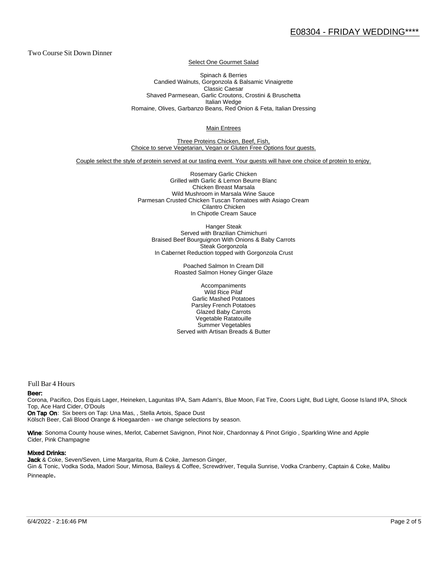Two Course Sit Down Dinner

Select One Gourmet Salad

Spinach & Berries Candied Walnuts, Gorgonzola & Balsamic Vinaigrette Classic Caesar Shaved Parmesean, Garlic Croutons, Crostini & Bruschetta Italian Wedge Romaine, Olives, Garbanzo Beans, Red Onion & Feta, Italian Dressing

Main Entrees

Three Proteins Chicken, Beef, Fish, Choice to serve Vegetarian, Vegan or Gluten Free Options four guests.

Couple select the style of protein served at our tasting event. Your guests will have one choice of protein to enjoy.

Rosemary Garlic Chicken Grilled with Garlic & Lemon Beurre Blanc Chicken Breast Marsala Wild Mushroom in Marsala Wine Sauce Parmesan Crusted Chicken Tuscan Tomatoes with Asiago Cream Cilantro Chicken In Chipotle Cream Sauce

Hanger Steak Served with Brazilian Chimichurri Braised Beef Bourguignon With Onions & Baby Carrots Steak Gorgonzola In Cabernet Reduction topped with Gorgonzola Crust

> Poached Salmon In Cream Dill Roasted Salmon Honey Ginger Glaze

Accompaniments Wild Rice Pilaf Garlic Mashed Potatoes Parsley French Potatoes Glazed Baby Carrots Vegetable Ratatouille Summer Vegetables Served with Artisan Breads & Butter

Full Bar 4 Hours

#### Beer:

Corona, Pacifico, Dos Equis Lager, Heineken, Lagunitas IPA, Sam Adam's, Blue Moon, Fat Tire, Coors Light, Bud Light, Goose Is land IPA, Shock Top, Ace Hard Cider, O'Douls

On Tap On: Six beers on Tap: Una Mas, , Stella Artois, Space Dust Kölsch Beer, Cali Blood Orange & Hoegaarden - we change selections by season.

Wine: Sonoma County house wines, Merlot, Cabernet Savignon, Pinot Noir, Chardonnay & Pinot Grigio, Sparkling Wine and Apple Cider, Pink Champagne

#### Mixed Drinks:

Jack & Coke, Seven/Seven, Lime Margarita, Rum & Coke, Jameson Ginger, Gin & Tonic, Vodka Soda, Madori Sour, Mimosa, Baileys & Coffee, Screwdriver, Tequila Sunrise, Vodka Cranberry, Captain & Coke, Malibu Pinneaple.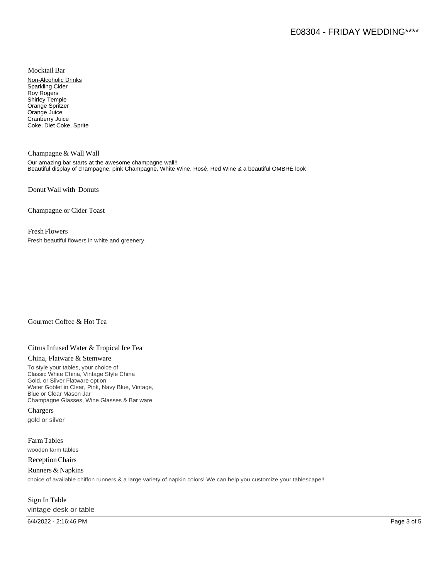Mocktail Bar

Non-Alcoholic Drinks Sparkling Cider Roy Rogers Shirley Temple Orange Spritzer Orange Juice Cranberry Juice Coke, Diet Coke, Sprite

Champagne & Wall Wall Our amazing bar starts at the awesome champagne wall!! Beautiful display of champagne, pink Champagne, White Wine, Rosé, Red Wine & a beautiful OMBRÉ look

Donut Wall with Donuts

Champagne or Cider Toast

### Fresh Flowers

Fresh beautiful flowers in white and greenery.

# Gourmet Coffee & Hot Tea

# Citrus Infused Water & Tropical Ice Tea

#### China, Flatware & Stemware

To style your tables, your choice of: Classic White China, Vintage Style China Gold, or Silver Flatware option Water Goblet in Clear, Pink, Navy Blue, Vintage, Blue or Clear Mason Jar Champagne Glasses, Wine Glasses & Bar ware

Chargers gold or silver

Farm Tables wooden farm tables

Reception Chairs

Runners & Napkins choice of available chiffon runners & a large variety of napkin colors! We can help you customize your tablescape!!

# Sign In Table vintage desk or table

6/4/2022 - 2:16:46 PM Page 3 of 5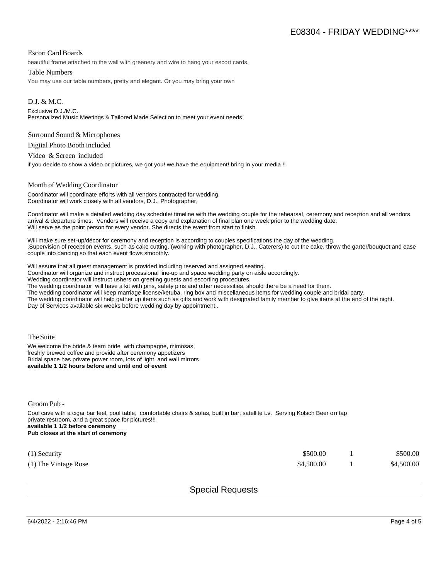## Escort Card Boards

beautiful frame attached to the wall with greenery and wire to hang your escort cards.

#### Table Numbers

You may use our table numbers, pretty and elegant. Or you may bring your own

D.J. & M.C. Exclusive D.J./M.C. Personalized Music Meetings & Tailored Made Selection to meet your event needs

#### Surround Sound & Microphones

Digital Photo Booth included

Video & Screen included

if you decide to show a video or pictures, we got you! we have the equipment! bring in your media !!

#### Month of Wedding Coordinator

Coordinator will coordinate efforts with all vendors contracted for wedding. Coordinator will work closely with all vendors, D.J., Photographer,

Coordinator will make a detailed wedding day schedule/ timeline with the wedding couple for the rehearsal, ceremony and reception and all vendors arrival & departure times. Vendors will receive a copy and explanation of final plan one week prior to the wedding date. Will serve as the point person for every vendor. She directs the event from start to finish.

Will make sure set-up/décor for ceremony and reception is according to couples specifications the day of the wedding. .Supervision of reception events, such as cake cutting, (working with photographer, D.J., Caterers) to cut the cake, throw the garter/bouquet and ease couple into dancing so that each event flows smoothly.

Will assure that all guest management is provided including reserved and assigned seating.

Coordinator will organize and instruct processional line-up and space wedding party on aisle accordingly.

Wedding coordinator will instruct ushers on greeting guests and escorting procedures.

The wedding coordinator will have a kit with pins, safety pins and other necessities, should there be a need for them.

The wedding coordinator will keep marriage license/ketuba, ring box and miscellaneous items for wedding couple and bridal party.

The wedding coordinator will help gather up items such as gifts and work with designated family member to give items at the end of the night. Day of Services available six weeks before wedding day by appointment..

The Suite

We welcome the bride & team bride with champagne, mimosas, freshly brewed coffee and provide after ceremony appetizers Bridal space has private power room, lots of light, and wall mirrors **available 1 1/2 hours before and until end of event** 

Groom Pub -

Cool cave with a cigar bar feel, pool table, comfortable chairs & sofas, built in bar, satellite t.v. Serving Kolsch Beer on tap private restroom, and a great space for pictures!!! **available 1 1/2 before ceremony Pub closes at the start of ceremony**

| $(1)$ Security         | \$500.00   | \$500.00   |
|------------------------|------------|------------|
| $(1)$ The Vintage Rose | \$4,500.00 | \$4,500.00 |

Special Requests